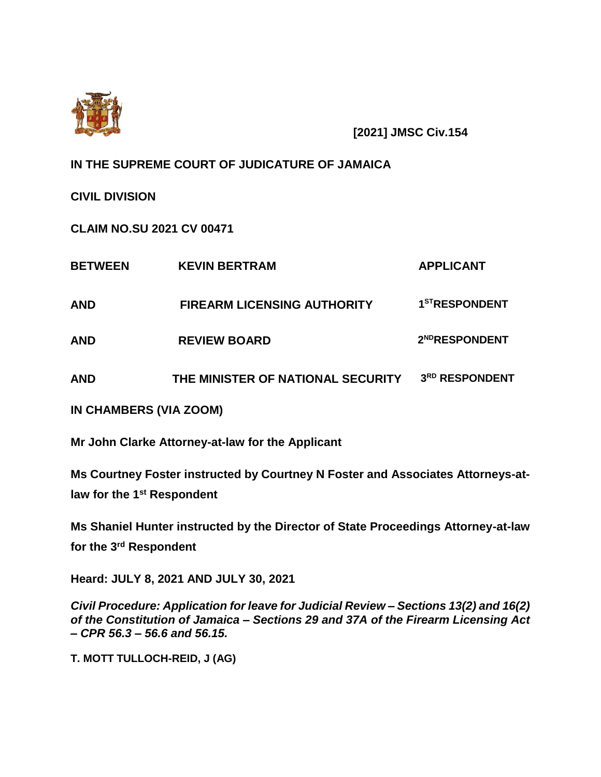

**[2021] JMSC Civ.154**

**IN THE SUPREME COURT OF JUDICATURE OF JAMAICA**

**CIVIL DIVISION**

**CLAIM NO.SU 2021 CV 00471**

| <b>BETWEEN</b> | <b>KEVIN BERTRAM</b>               | <b>APPLICANT</b>           |
|----------------|------------------------------------|----------------------------|
| AND            | <b>FIREARM LICENSING AUTHORITY</b> | 1 <sup>ST</sup> RESPONDENT |
| AND            | <b>REVIEW BOARD</b>                | 2 <sup>ND</sup> RESPONDENT |
| AND            | THE MINISTER OF NATIONAL SECURITY  | 3RD RESPONDENT             |

**IN CHAMBERS (VIA ZOOM)**

**Mr John Clarke Attorney-at-law for the Applicant** 

**Ms Courtney Foster instructed by Courtney N Foster and Associates Attorneys-atlaw for the 1st Respondent**

**Ms Shaniel Hunter instructed by the Director of State Proceedings Attorney-at-law for the 3rd Respondent**

**Heard: JULY 8, 2021 AND JULY 30, 2021**

*Civil Procedure: Application for leave for Judicial Review – Sections 13(2) and 16(2) of the Constitution of Jamaica – Sections 29 and 37A of the Firearm Licensing Act – CPR 56.3 – 56.6 and 56.15.*

**T. MOTT TULLOCH-REID, J (AG)**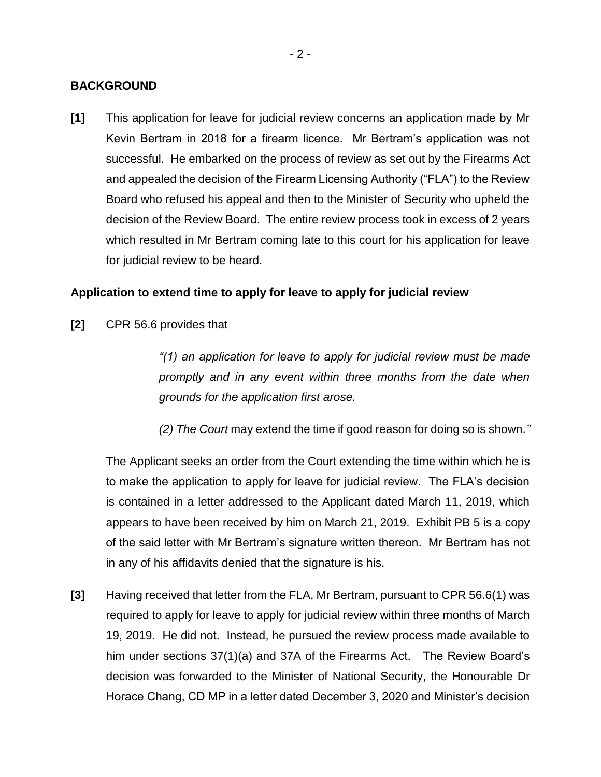### **BACKGROUND**

**[1]** This application for leave for judicial review concerns an application made by Mr Kevin Bertram in 2018 for a firearm licence. Mr Bertram's application was not successful. He embarked on the process of review as set out by the Firearms Act and appealed the decision of the Firearm Licensing Authority ("FLA") to the Review Board who refused his appeal and then to the Minister of Security who upheld the decision of the Review Board. The entire review process took in excess of 2 years which resulted in Mr Bertram coming late to this court for his application for leave for judicial review to be heard.

# **Application to extend time to apply for leave to apply for judicial review**

**[2]** CPR 56.6 provides that

*"(1) an application for leave to apply for judicial review must be made promptly and in any event within three months from the date when grounds for the application first arose.*

*(2) The Court* may extend the time if good reason for doing so is shown.*"*

The Applicant seeks an order from the Court extending the time within which he is to make the application to apply for leave for judicial review. The FLA's decision is contained in a letter addressed to the Applicant dated March 11, 2019, which appears to have been received by him on March 21, 2019. Exhibit PB 5 is a copy of the said letter with Mr Bertram's signature written thereon. Mr Bertram has not in any of his affidavits denied that the signature is his.

**[3]** Having received that letter from the FLA, Mr Bertram, pursuant to CPR 56.6(1) was required to apply for leave to apply for judicial review within three months of March 19, 2019. He did not. Instead, he pursued the review process made available to him under sections 37(1)(a) and 37A of the Firearms Act. The Review Board's decision was forwarded to the Minister of National Security, the Honourable Dr Horace Chang, CD MP in a letter dated December 3, 2020 and Minister's decision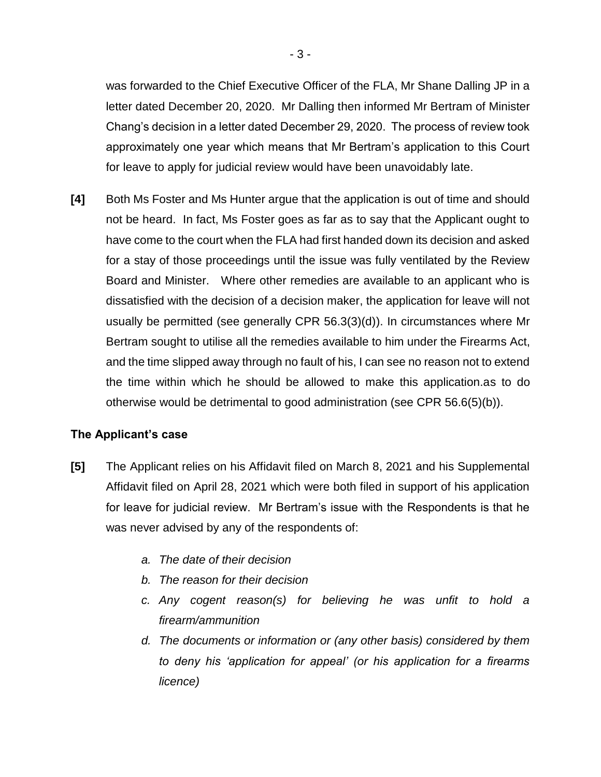was forwarded to the Chief Executive Officer of the FLA, Mr Shane Dalling JP in a letter dated December 20, 2020. Mr Dalling then informed Mr Bertram of Minister Chang's decision in a letter dated December 29, 2020. The process of review took approximately one year which means that Mr Bertram's application to this Court for leave to apply for judicial review would have been unavoidably late.

**[4]** Both Ms Foster and Ms Hunter argue that the application is out of time and should not be heard. In fact, Ms Foster goes as far as to say that the Applicant ought to have come to the court when the FLA had first handed down its decision and asked for a stay of those proceedings until the issue was fully ventilated by the Review Board and Minister. Where other remedies are available to an applicant who is dissatisfied with the decision of a decision maker, the application for leave will not usually be permitted (see generally CPR 56.3(3)(d)). In circumstances where Mr Bertram sought to utilise all the remedies available to him under the Firearms Act, and the time slipped away through no fault of his, I can see no reason not to extend the time within which he should be allowed to make this application.as to do otherwise would be detrimental to good administration (see CPR 56.6(5)(b)).

## **The Applicant's case**

- **[5]** The Applicant relies on his Affidavit filed on March 8, 2021 and his Supplemental Affidavit filed on April 28, 2021 which were both filed in support of his application for leave for judicial review. Mr Bertram's issue with the Respondents is that he was never advised by any of the respondents of:
	- *a. The date of their decision*
	- *b. The reason for their decision*
	- *c. Any cogent reason(s) for believing he was unfit to hold a firearm/ammunition*
	- *d. The documents or information or (any other basis) considered by them to deny his 'application for appeal' (or his application for a firearms licence)*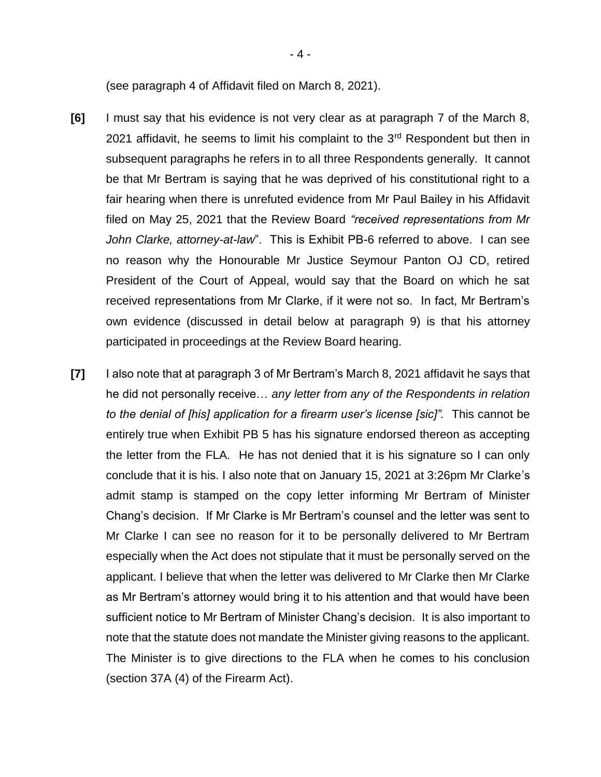(see paragraph 4 of Affidavit filed on March 8, 2021).

- **[6]** I must say that his evidence is not very clear as at paragraph 7 of the March 8, 2021 affidavit, he seems to limit his complaint to the  $3<sup>rd</sup>$  Respondent but then in subsequent paragraphs he refers in to all three Respondents generally. It cannot be that Mr Bertram is saying that he was deprived of his constitutional right to a fair hearing when there is unrefuted evidence from Mr Paul Bailey in his Affidavit filed on May 25, 2021 that the Review Board *"received representations from Mr John Clarke, attorney-at-law*". This is Exhibit PB-6 referred to above. I can see no reason why the Honourable Mr Justice Seymour Panton OJ CD, retired President of the Court of Appeal, would say that the Board on which he sat received representations from Mr Clarke, if it were not so. In fact, Mr Bertram's own evidence (discussed in detail below at paragraph 9) is that his attorney participated in proceedings at the Review Board hearing.
- **[7]** I also note that at paragraph 3 of Mr Bertram's March 8, 2021 affidavit he says that he did not personally receive… *any letter from any of the Respondents in relation to the denial of [his] application for a firearm user's license [sic]".* This cannot be entirely true when Exhibit PB 5 has his signature endorsed thereon as accepting the letter from the FLA. He has not denied that it is his signature so I can only conclude that it is his. I also note that on January 15, 2021 at 3:26pm Mr Clarke's admit stamp is stamped on the copy letter informing Mr Bertram of Minister Chang's decision. If Mr Clarke is Mr Bertram's counsel and the letter was sent to Mr Clarke I can see no reason for it to be personally delivered to Mr Bertram especially when the Act does not stipulate that it must be personally served on the applicant. I believe that when the letter was delivered to Mr Clarke then Mr Clarke as Mr Bertram's attorney would bring it to his attention and that would have been sufficient notice to Mr Bertram of Minister Chang's decision. It is also important to note that the statute does not mandate the Minister giving reasons to the applicant. The Minister is to give directions to the FLA when he comes to his conclusion (section 37A (4) of the Firearm Act).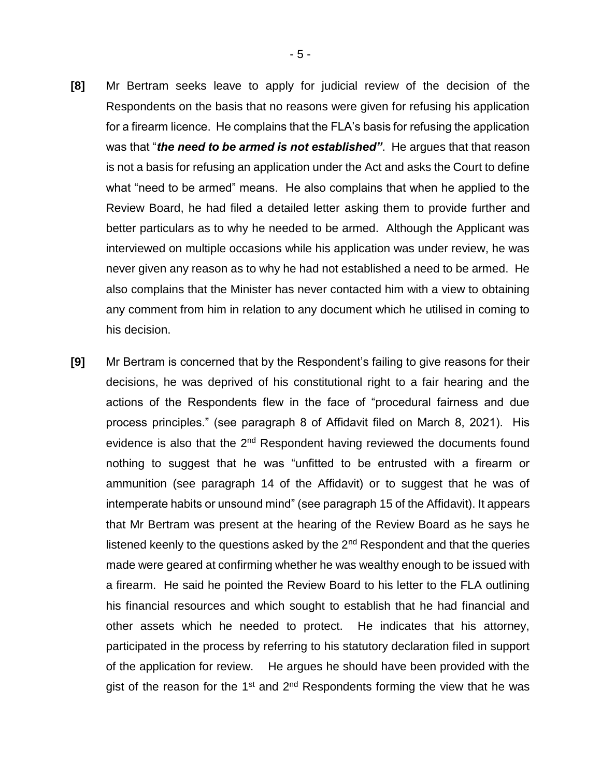- **[8]** Mr Bertram seeks leave to apply for judicial review of the decision of the Respondents on the basis that no reasons were given for refusing his application for a firearm licence. He complains that the FLA's basis for refusing the application was that "*the need to be armed is not established"*. He argues that that reason is not a basis for refusing an application under the Act and asks the Court to define what "need to be armed" means. He also complains that when he applied to the Review Board, he had filed a detailed letter asking them to provide further and better particulars as to why he needed to be armed. Although the Applicant was interviewed on multiple occasions while his application was under review, he was never given any reason as to why he had not established a need to be armed. He also complains that the Minister has never contacted him with a view to obtaining any comment from him in relation to any document which he utilised in coming to his decision.
- **[9]** Mr Bertram is concerned that by the Respondent's failing to give reasons for their decisions, he was deprived of his constitutional right to a fair hearing and the actions of the Respondents flew in the face of "procedural fairness and due process principles." (see paragraph 8 of Affidavit filed on March 8, 2021). His evidence is also that the 2<sup>nd</sup> Respondent having reviewed the documents found nothing to suggest that he was "unfitted to be entrusted with a firearm or ammunition (see paragraph 14 of the Affidavit) or to suggest that he was of intemperate habits or unsound mind" (see paragraph 15 of the Affidavit). It appears that Mr Bertram was present at the hearing of the Review Board as he says he listened keenly to the questions asked by the 2<sup>nd</sup> Respondent and that the queries made were geared at confirming whether he was wealthy enough to be issued with a firearm. He said he pointed the Review Board to his letter to the FLA outlining his financial resources and which sought to establish that he had financial and other assets which he needed to protect. He indicates that his attorney, participated in the process by referring to his statutory declaration filed in support of the application for review. He argues he should have been provided with the gist of the reason for the 1<sup>st</sup> and 2<sup>nd</sup> Respondents forming the view that he was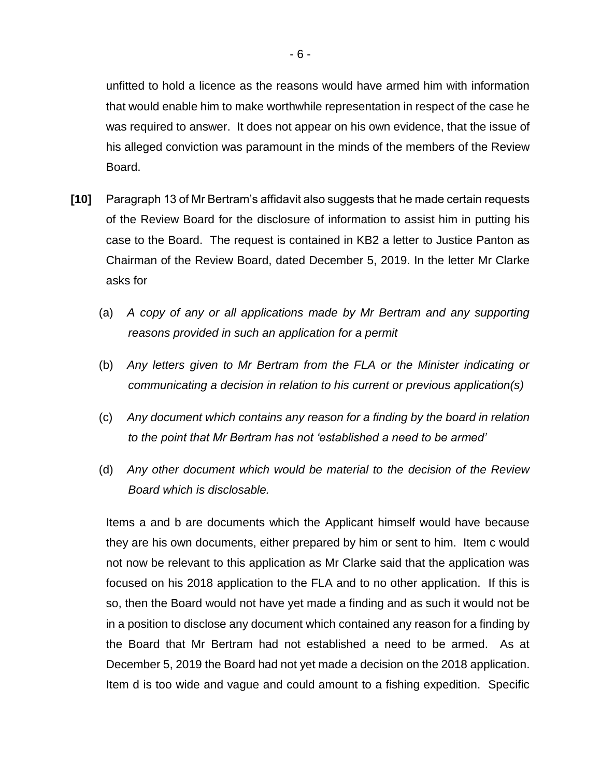- 6 -

unfitted to hold a licence as the reasons would have armed him with information that would enable him to make worthwhile representation in respect of the case he was required to answer. It does not appear on his own evidence, that the issue of his alleged conviction was paramount in the minds of the members of the Review Board.

- **[10]** Paragraph 13 of Mr Bertram's affidavit also suggests that he made certain requests of the Review Board for the disclosure of information to assist him in putting his case to the Board. The request is contained in KB2 a letter to Justice Panton as Chairman of the Review Board, dated December 5, 2019. In the letter Mr Clarke asks for
	- (a) *A copy of any or all applications made by Mr Bertram and any supporting reasons provided in such an application for a permit*
	- (b) *Any letters given to Mr Bertram from the FLA or the Minister indicating or communicating a decision in relation to his current or previous application(s)*
	- (c) *Any document which contains any reason for a finding by the board in relation to the point that Mr Bertram has not 'established a need to be armed'*
	- (d) *Any other document which would be material to the decision of the Review Board which is disclosable.*

Items a and b are documents which the Applicant himself would have because they are his own documents, either prepared by him or sent to him. Item c would not now be relevant to this application as Mr Clarke said that the application was focused on his 2018 application to the FLA and to no other application. If this is so, then the Board would not have yet made a finding and as such it would not be in a position to disclose any document which contained any reason for a finding by the Board that Mr Bertram had not established a need to be armed. As at December 5, 2019 the Board had not yet made a decision on the 2018 application. Item d is too wide and vague and could amount to a fishing expedition. Specific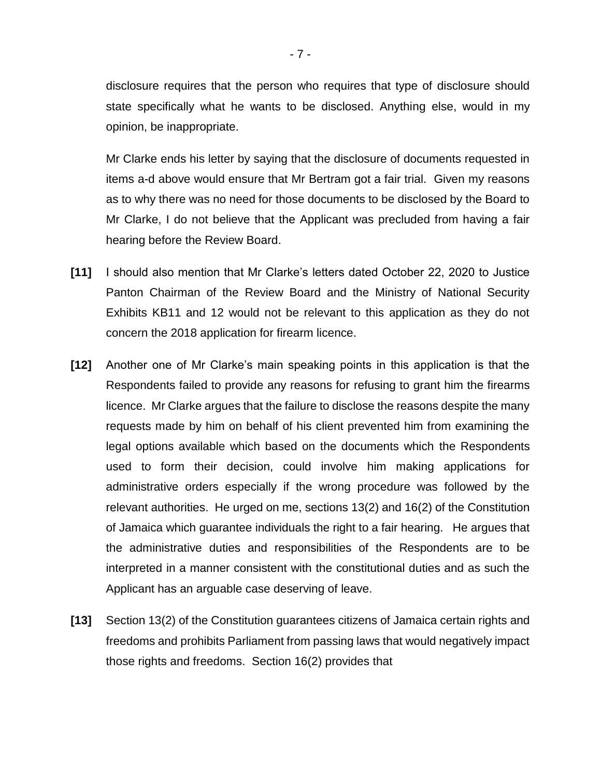disclosure requires that the person who requires that type of disclosure should state specifically what he wants to be disclosed. Anything else, would in my opinion, be inappropriate.

Mr Clarke ends his letter by saying that the disclosure of documents requested in items a-d above would ensure that Mr Bertram got a fair trial. Given my reasons as to why there was no need for those documents to be disclosed by the Board to Mr Clarke, I do not believe that the Applicant was precluded from having a fair hearing before the Review Board.

- **[11]** I should also mention that Mr Clarke's letters dated October 22, 2020 to Justice Panton Chairman of the Review Board and the Ministry of National Security Exhibits KB11 and 12 would not be relevant to this application as they do not concern the 2018 application for firearm licence.
- **[12]** Another one of Mr Clarke's main speaking points in this application is that the Respondents failed to provide any reasons for refusing to grant him the firearms licence. Mr Clarke argues that the failure to disclose the reasons despite the many requests made by him on behalf of his client prevented him from examining the legal options available which based on the documents which the Respondents used to form their decision, could involve him making applications for administrative orders especially if the wrong procedure was followed by the relevant authorities. He urged on me, sections 13(2) and 16(2) of the Constitution of Jamaica which guarantee individuals the right to a fair hearing. He argues that the administrative duties and responsibilities of the Respondents are to be interpreted in a manner consistent with the constitutional duties and as such the Applicant has an arguable case deserving of leave.
- **[13]** Section 13(2) of the Constitution guarantees citizens of Jamaica certain rights and freedoms and prohibits Parliament from passing laws that would negatively impact those rights and freedoms. Section 16(2) provides that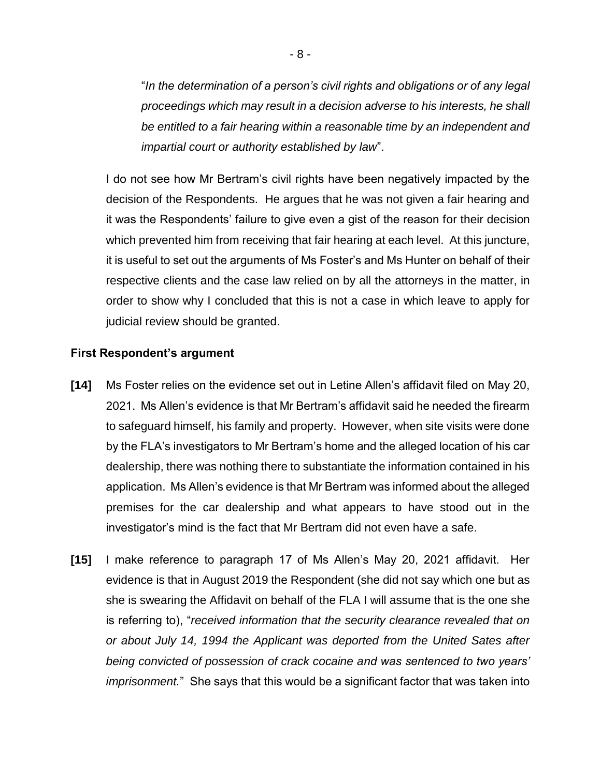"*In the determination of a person's civil rights and obligations or of any legal proceedings which may result in a decision adverse to his interests, he shall be entitled to a fair hearing within a reasonable time by an independent and impartial court or authority established by law*".

I do not see how Mr Bertram's civil rights have been negatively impacted by the decision of the Respondents. He argues that he was not given a fair hearing and it was the Respondents' failure to give even a gist of the reason for their decision which prevented him from receiving that fair hearing at each level. At this juncture, it is useful to set out the arguments of Ms Foster's and Ms Hunter on behalf of their respective clients and the case law relied on by all the attorneys in the matter, in order to show why I concluded that this is not a case in which leave to apply for judicial review should be granted.

### **First Respondent's argument**

- **[14]** Ms Foster relies on the evidence set out in Letine Allen's affidavit filed on May 20, 2021. Ms Allen's evidence is that Mr Bertram's affidavit said he needed the firearm to safeguard himself, his family and property. However, when site visits were done by the FLA's investigators to Mr Bertram's home and the alleged location of his car dealership, there was nothing there to substantiate the information contained in his application. Ms Allen's evidence is that Mr Bertram was informed about the alleged premises for the car dealership and what appears to have stood out in the investigator's mind is the fact that Mr Bertram did not even have a safe.
- **[15]** I make reference to paragraph 17 of Ms Allen's May 20, 2021 affidavit. Her evidence is that in August 2019 the Respondent (she did not say which one but as she is swearing the Affidavit on behalf of the FLA I will assume that is the one she is referring to), "*received information that the security clearance revealed that on or about July 14, 1994 the Applicant was deported from the United Sates after being convicted of possession of crack cocaine and was sentenced to two years' imprisonment.*" She says that this would be a significant factor that was taken into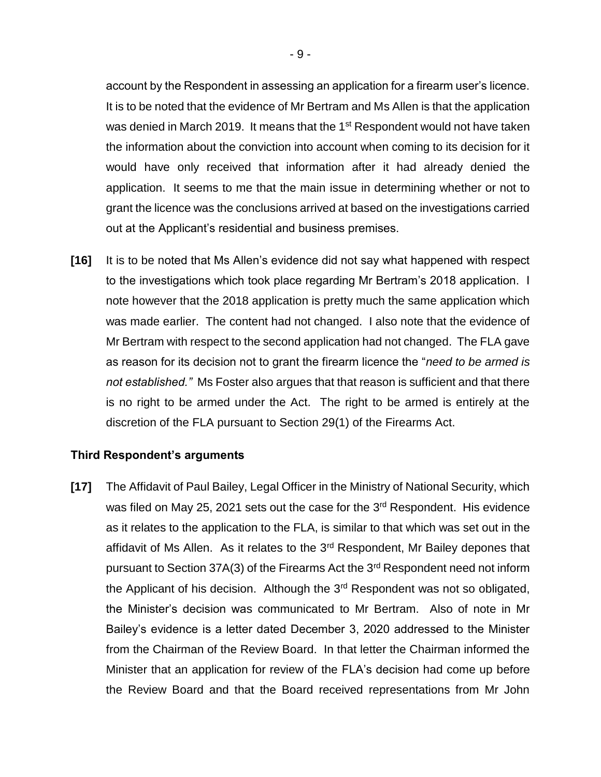account by the Respondent in assessing an application for a firearm user's licence. It is to be noted that the evidence of Mr Bertram and Ms Allen is that the application was denied in March 2019. It means that the 1<sup>st</sup> Respondent would not have taken the information about the conviction into account when coming to its decision for it would have only received that information after it had already denied the application. It seems to me that the main issue in determining whether or not to grant the licence was the conclusions arrived at based on the investigations carried out at the Applicant's residential and business premises.

**[16]** It is to be noted that Ms Allen's evidence did not say what happened with respect to the investigations which took place regarding Mr Bertram's 2018 application. I note however that the 2018 application is pretty much the same application which was made earlier. The content had not changed. I also note that the evidence of Mr Bertram with respect to the second application had not changed. The FLA gave as reason for its decision not to grant the firearm licence the "*need to be armed is not established."* Ms Foster also argues that that reason is sufficient and that there is no right to be armed under the Act. The right to be armed is entirely at the discretion of the FLA pursuant to Section 29(1) of the Firearms Act.

#### **Third Respondent's arguments**

**[17]** The Affidavit of Paul Bailey, Legal Officer in the Ministry of National Security, which was filed on May 25, 2021 sets out the case for the 3<sup>rd</sup> Respondent. His evidence as it relates to the application to the FLA, is similar to that which was set out in the affidavit of Ms Allen. As it relates to the 3<sup>rd</sup> Respondent, Mr Bailey depones that pursuant to Section 37A(3) of the Firearms Act the 3rd Respondent need not inform the Applicant of his decision. Although the 3<sup>rd</sup> Respondent was not so obligated, the Minister's decision was communicated to Mr Bertram. Also of note in Mr Bailey's evidence is a letter dated December 3, 2020 addressed to the Minister from the Chairman of the Review Board. In that letter the Chairman informed the Minister that an application for review of the FLA's decision had come up before the Review Board and that the Board received representations from Mr John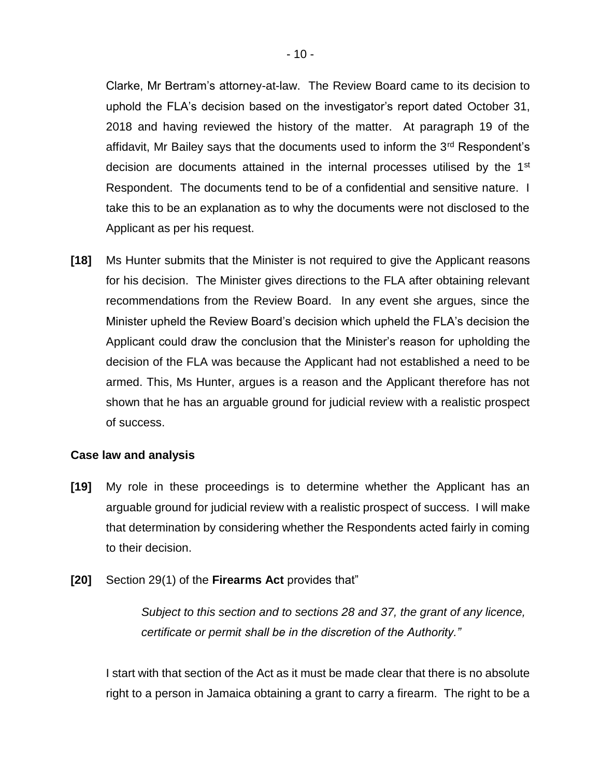Clarke, Mr Bertram's attorney-at-law. The Review Board came to its decision to uphold the FLA's decision based on the investigator's report dated October 31, 2018 and having reviewed the history of the matter. At paragraph 19 of the affidavit, Mr Bailey says that the documents used to inform the 3<sup>rd</sup> Respondent's decision are documents attained in the internal processes utilised by the 1<sup>st</sup> Respondent. The documents tend to be of a confidential and sensitive nature. I take this to be an explanation as to why the documents were not disclosed to the Applicant as per his request.

**[18]** Ms Hunter submits that the Minister is not required to give the Applicant reasons for his decision. The Minister gives directions to the FLA after obtaining relevant recommendations from the Review Board. In any event she argues, since the Minister upheld the Review Board's decision which upheld the FLA's decision the Applicant could draw the conclusion that the Minister's reason for upholding the decision of the FLA was because the Applicant had not established a need to be armed. This, Ms Hunter, argues is a reason and the Applicant therefore has not shown that he has an arguable ground for judicial review with a realistic prospect of success.

#### **Case law and analysis**

- **[19]** My role in these proceedings is to determine whether the Applicant has an arguable ground for judicial review with a realistic prospect of success. I will make that determination by considering whether the Respondents acted fairly in coming to their decision.
- **[20]** Section 29(1) of the **Firearms Act** provides that"

*Subject to this section and to sections 28 and 37, the grant of any licence, certificate or permit shall be in the discretion of the Authority."*

I start with that section of the Act as it must be made clear that there is no absolute right to a person in Jamaica obtaining a grant to carry a firearm. The right to be a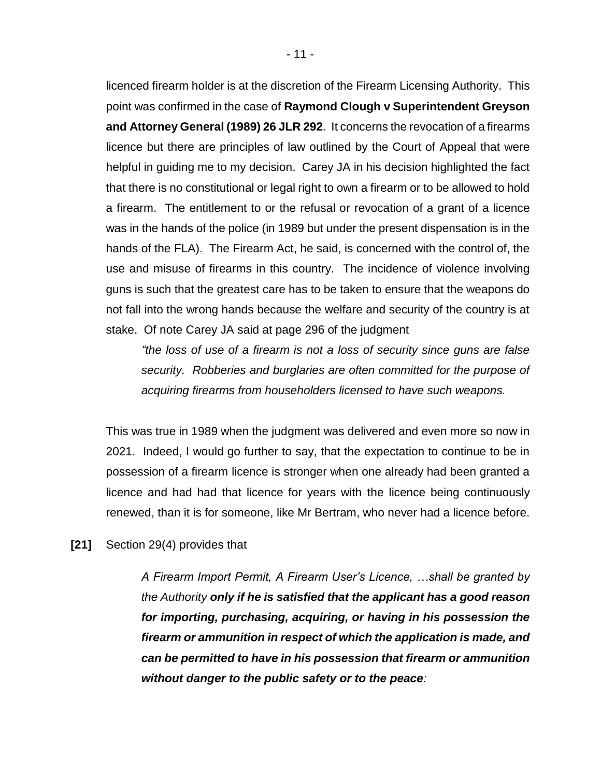licenced firearm holder is at the discretion of the Firearm Licensing Authority. This point was confirmed in the case of **Raymond Clough v Superintendent Greyson and Attorney General (1989) 26 JLR 292**. It concerns the revocation of a firearms licence but there are principles of law outlined by the Court of Appeal that were helpful in guiding me to my decision. Carey JA in his decision highlighted the fact that there is no constitutional or legal right to own a firearm or to be allowed to hold a firearm. The entitlement to or the refusal or revocation of a grant of a licence was in the hands of the police (in 1989 but under the present dispensation is in the hands of the FLA). The Firearm Act, he said, is concerned with the control of, the use and misuse of firearms in this country. The incidence of violence involving guns is such that the greatest care has to be taken to ensure that the weapons do not fall into the wrong hands because the welfare and security of the country is at stake. Of note Carey JA said at page 296 of the judgment

*"the loss of use of a firearm is not a loss of security since guns are false security. Robberies and burglaries are often committed for the purpose of acquiring firearms from householders licensed to have such weapons.* 

This was true in 1989 when the judgment was delivered and even more so now in 2021. Indeed, I would go further to say, that the expectation to continue to be in possession of a firearm licence is stronger when one already had been granted a licence and had had that licence for years with the licence being continuously renewed, than it is for someone, like Mr Bertram, who never had a licence before.

**[21]** Section 29(4) provides that

*A Firearm Import Permit, A Firearm User's Licence, …shall be granted by the Authority only if he is satisfied that the applicant has a good reason for importing, purchasing, acquiring, or having in his possession the firearm or ammunition in respect of which the application is made, and can be permitted to have in his possession that firearm or ammunition without danger to the public safety or to the peace:*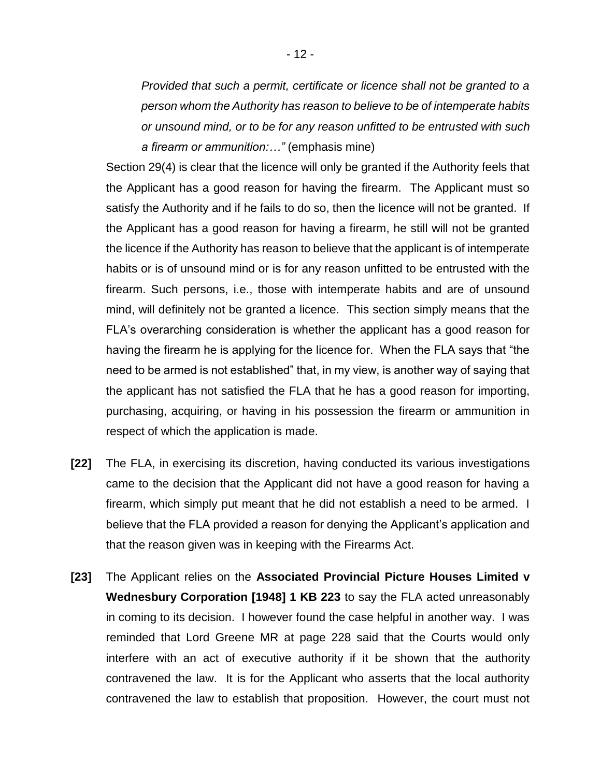*Provided that such a permit, certificate or licence shall not be granted to a person whom the Authority has reason to believe to be of intemperate habits or unsound mind, or to be for any reason unfitted to be entrusted with such a firearm or ammunition:…"* (emphasis mine)

Section 29(4) is clear that the licence will only be granted if the Authority feels that the Applicant has a good reason for having the firearm. The Applicant must so satisfy the Authority and if he fails to do so, then the licence will not be granted. If the Applicant has a good reason for having a firearm, he still will not be granted the licence if the Authority has reason to believe that the applicant is of intemperate habits or is of unsound mind or is for any reason unfitted to be entrusted with the firearm. Such persons, i.e., those with intemperate habits and are of unsound mind, will definitely not be granted a licence. This section simply means that the FLA's overarching consideration is whether the applicant has a good reason for having the firearm he is applying for the licence for. When the FLA says that "the need to be armed is not established" that, in my view, is another way of saying that the applicant has not satisfied the FLA that he has a good reason for importing, purchasing, acquiring, or having in his possession the firearm or ammunition in respect of which the application is made.

- **[22]** The FLA, in exercising its discretion, having conducted its various investigations came to the decision that the Applicant did not have a good reason for having a firearm, which simply put meant that he did not establish a need to be armed. I believe that the FLA provided a reason for denying the Applicant's application and that the reason given was in keeping with the Firearms Act.
- **[23]** The Applicant relies on the **Associated Provincial Picture Houses Limited v Wednesbury Corporation [1948] 1 KB 223** to say the FLA acted unreasonably in coming to its decision. I however found the case helpful in another way. I was reminded that Lord Greene MR at page 228 said that the Courts would only interfere with an act of executive authority if it be shown that the authority contravened the law. It is for the Applicant who asserts that the local authority contravened the law to establish that proposition. However, the court must not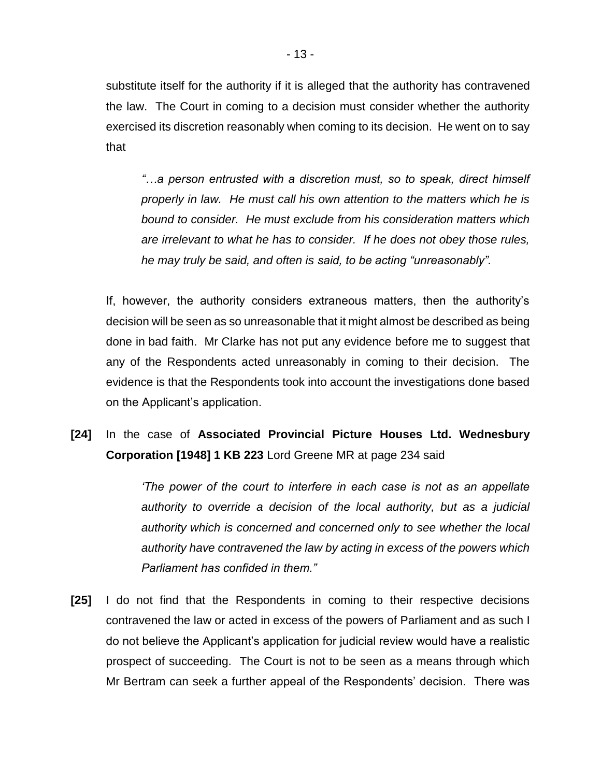substitute itself for the authority if it is alleged that the authority has contravened the law. The Court in coming to a decision must consider whether the authority exercised its discretion reasonably when coming to its decision. He went on to say that

*"…a person entrusted with a discretion must, so to speak, direct himself properly in law. He must call his own attention to the matters which he is bound to consider. He must exclude from his consideration matters which are irrelevant to what he has to consider. If he does not obey those rules, he may truly be said, and often is said, to be acting "unreasonably".* 

If, however, the authority considers extraneous matters, then the authority's decision will be seen as so unreasonable that it might almost be described as being done in bad faith. Mr Clarke has not put any evidence before me to suggest that any of the Respondents acted unreasonably in coming to their decision. The evidence is that the Respondents took into account the investigations done based on the Applicant's application.

**[24]** In the case of **Associated Provincial Picture Houses Ltd. Wednesbury Corporation [1948] 1 KB 223** Lord Greene MR at page 234 said

> *'The power of the court to interfere in each case is not as an appellate authority to override a decision of the local authority, but as a judicial authority which is concerned and concerned only to see whether the local authority have contravened the law by acting in excess of the powers which Parliament has confided in them."*

**[25]** I do not find that the Respondents in coming to their respective decisions contravened the law or acted in excess of the powers of Parliament and as such I do not believe the Applicant's application for judicial review would have a realistic prospect of succeeding. The Court is not to be seen as a means through which Mr Bertram can seek a further appeal of the Respondents' decision. There was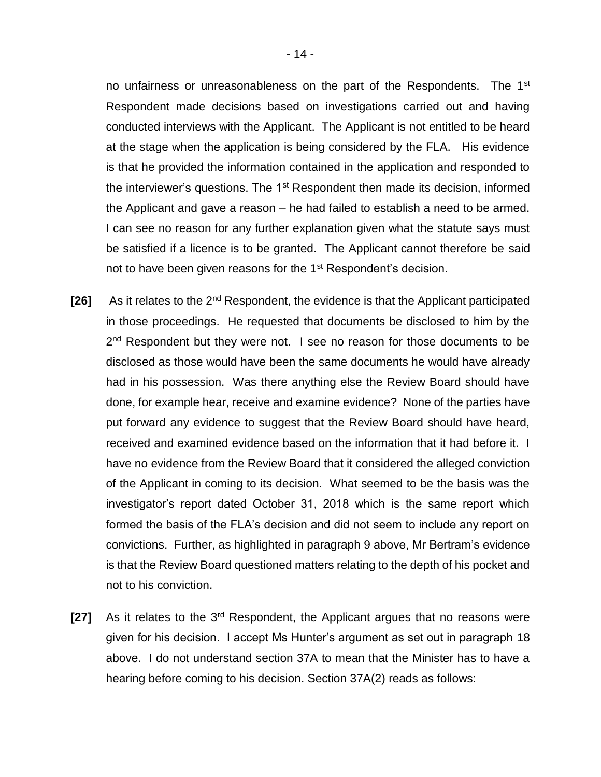no unfairness or unreasonableness on the part of the Respondents. The 1<sup>st</sup> Respondent made decisions based on investigations carried out and having conducted interviews with the Applicant. The Applicant is not entitled to be heard at the stage when the application is being considered by the FLA. His evidence is that he provided the information contained in the application and responded to the interviewer's questions. The  $1<sup>st</sup>$  Respondent then made its decision, informed the Applicant and gave a reason – he had failed to establish a need to be armed. I can see no reason for any further explanation given what the statute says must be satisfied if a licence is to be granted. The Applicant cannot therefore be said not to have been given reasons for the 1<sup>st</sup> Respondent's decision.

- **[26]** As it relates to the 2nd Respondent, the evidence is that the Applicant participated in those proceedings. He requested that documents be disclosed to him by the 2<sup>nd</sup> Respondent but they were not. I see no reason for those documents to be disclosed as those would have been the same documents he would have already had in his possession. Was there anything else the Review Board should have done, for example hear, receive and examine evidence? None of the parties have put forward any evidence to suggest that the Review Board should have heard, received and examined evidence based on the information that it had before it. I have no evidence from the Review Board that it considered the alleged conviction of the Applicant in coming to its decision. What seemed to be the basis was the investigator's report dated October 31, 2018 which is the same report which formed the basis of the FLA's decision and did not seem to include any report on convictions. Further, as highlighted in paragraph 9 above, Mr Bertram's evidence is that the Review Board questioned matters relating to the depth of his pocket and not to his conviction.
- **[27]** As it relates to the 3rd Respondent, the Applicant argues that no reasons were given for his decision. I accept Ms Hunter's argument as set out in paragraph 18 above. I do not understand section 37A to mean that the Minister has to have a hearing before coming to his decision. Section 37A(2) reads as follows: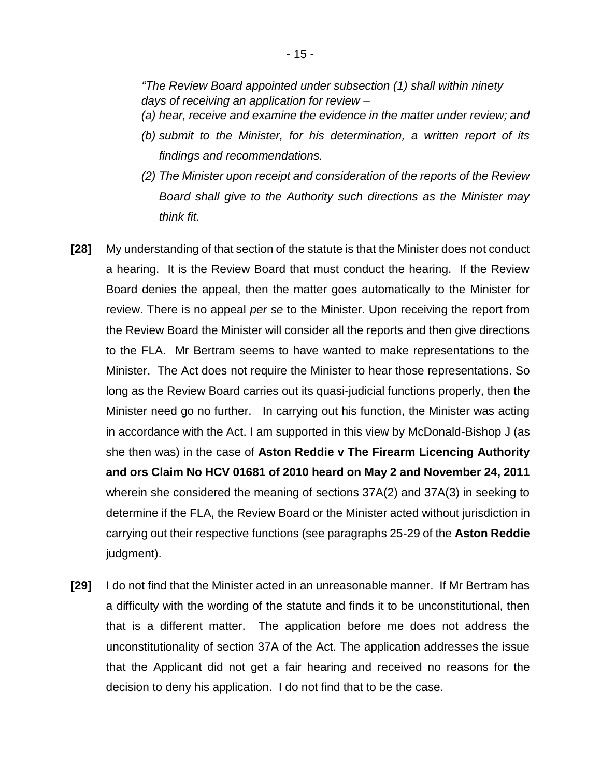*"The Review Board appointed under subsection (1) shall within ninety days of receiving an application for review –*

*(a) hear, receive and examine the evidence in the matter under review; and*

- *(b) submit to the Minister, for his determination, a written report of its findings and recommendations.*
- *(2) The Minister upon receipt and consideration of the reports of the Review Board shall give to the Authority such directions as the Minister may think fit.*
- **[28]** My understanding of that section of the statute is that the Minister does not conduct a hearing. It is the Review Board that must conduct the hearing. If the Review Board denies the appeal, then the matter goes automatically to the Minister for review. There is no appeal *per se* to the Minister. Upon receiving the report from the Review Board the Minister will consider all the reports and then give directions to the FLA. Mr Bertram seems to have wanted to make representations to the Minister. The Act does not require the Minister to hear those representations. So long as the Review Board carries out its quasi-judicial functions properly, then the Minister need go no further. In carrying out his function, the Minister was acting in accordance with the Act. I am supported in this view by McDonald-Bishop J (as she then was) in the case of **Aston Reddie v The Firearm Licencing Authority and ors Claim No HCV 01681 of 2010 heard on May 2 and November 24, 2011**  wherein she considered the meaning of sections 37A(2) and 37A(3) in seeking to determine if the FLA, the Review Board or the Minister acted without jurisdiction in carrying out their respective functions (see paragraphs 25-29 of the **Aston Reddie**  judgment).
- **[29]** I do not find that the Minister acted in an unreasonable manner. If Mr Bertram has a difficulty with the wording of the statute and finds it to be unconstitutional, then that is a different matter. The application before me does not address the unconstitutionality of section 37A of the Act. The application addresses the issue that the Applicant did not get a fair hearing and received no reasons for the decision to deny his application. I do not find that to be the case.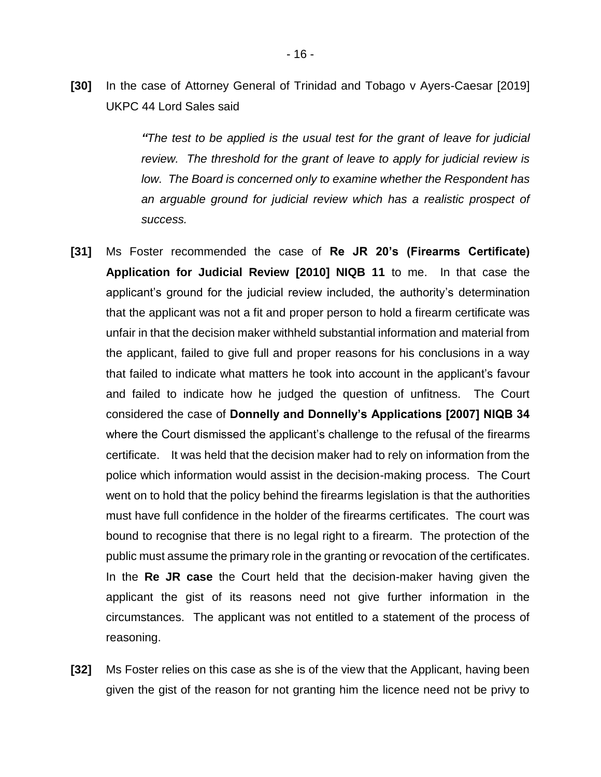**[30]** In the case of Attorney General of Trinidad and Tobago v Ayers-Caesar [2019] UKPC 44 Lord Sales said

> *"The test to be applied is the usual test for the grant of leave for judicial review. The threshold for the grant of leave to apply for judicial review is low. The Board is concerned only to examine whether the Respondent has an arguable ground for judicial review which has a realistic prospect of success.*

- **[31]** Ms Foster recommended the case of **Re JR 20's (Firearms Certificate) Application for Judicial Review [2010] NIQB 11** to me. In that case the applicant's ground for the judicial review included, the authority's determination that the applicant was not a fit and proper person to hold a firearm certificate was unfair in that the decision maker withheld substantial information and material from the applicant, failed to give full and proper reasons for his conclusions in a way that failed to indicate what matters he took into account in the applicant's favour and failed to indicate how he judged the question of unfitness. The Court considered the case of **Donnelly and Donnelly's Applications [2007] NIQB 34**  where the Court dismissed the applicant's challenge to the refusal of the firearms certificate. It was held that the decision maker had to rely on information from the police which information would assist in the decision-making process. The Court went on to hold that the policy behind the firearms legislation is that the authorities must have full confidence in the holder of the firearms certificates. The court was bound to recognise that there is no legal right to a firearm. The protection of the public must assume the primary role in the granting or revocation of the certificates. In the **Re JR case** the Court held that the decision-maker having given the applicant the gist of its reasons need not give further information in the circumstances. The applicant was not entitled to a statement of the process of reasoning.
- **[32]** Ms Foster relies on this case as she is of the view that the Applicant, having been given the gist of the reason for not granting him the licence need not be privy to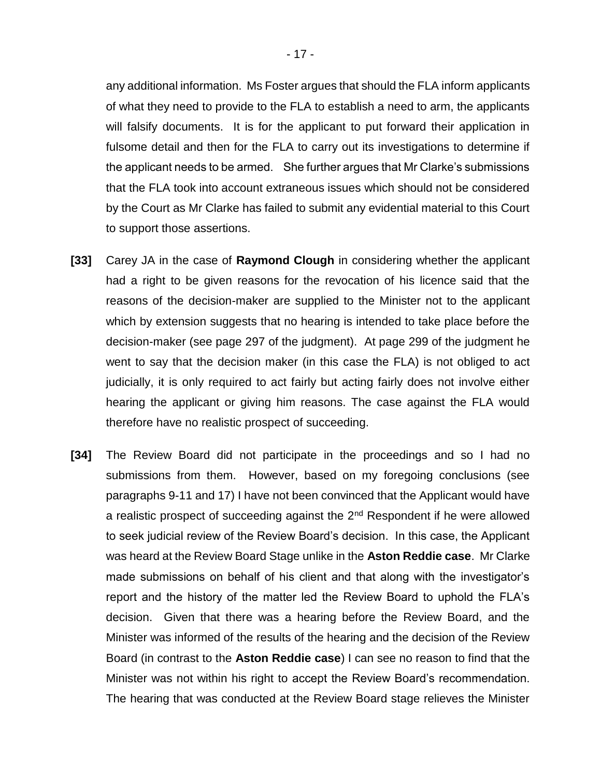any additional information. Ms Foster argues that should the FLA inform applicants of what they need to provide to the FLA to establish a need to arm, the applicants will falsify documents. It is for the applicant to put forward their application in fulsome detail and then for the FLA to carry out its investigations to determine if the applicant needs to be armed. She further argues that Mr Clarke's submissions that the FLA took into account extraneous issues which should not be considered by the Court as Mr Clarke has failed to submit any evidential material to this Court to support those assertions.

- **[33]** Carey JA in the case of **Raymond Clough** in considering whether the applicant had a right to be given reasons for the revocation of his licence said that the reasons of the decision-maker are supplied to the Minister not to the applicant which by extension suggests that no hearing is intended to take place before the decision-maker (see page 297 of the judgment). At page 299 of the judgment he went to say that the decision maker (in this case the FLA) is not obliged to act judicially, it is only required to act fairly but acting fairly does not involve either hearing the applicant or giving him reasons. The case against the FLA would therefore have no realistic prospect of succeeding.
- **[34]** The Review Board did not participate in the proceedings and so I had no submissions from them. However, based on my foregoing conclusions (see paragraphs 9-11 and 17) I have not been convinced that the Applicant would have a realistic prospect of succeeding against the  $2<sup>nd</sup>$  Respondent if he were allowed to seek judicial review of the Review Board's decision. In this case, the Applicant was heard at the Review Board Stage unlike in the **Aston Reddie case**. Mr Clarke made submissions on behalf of his client and that along with the investigator's report and the history of the matter led the Review Board to uphold the FLA's decision. Given that there was a hearing before the Review Board, and the Minister was informed of the results of the hearing and the decision of the Review Board (in contrast to the **Aston Reddie case**) I can see no reason to find that the Minister was not within his right to accept the Review Board's recommendation. The hearing that was conducted at the Review Board stage relieves the Minister